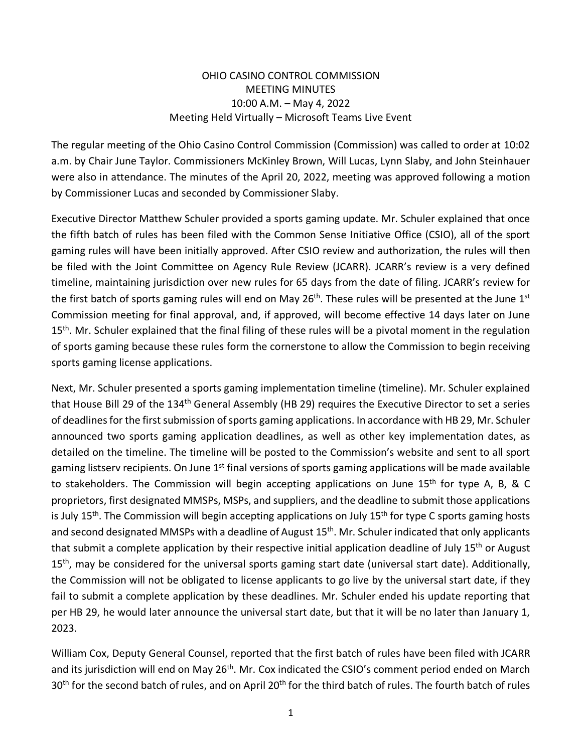## OHIO CASINO CONTROL COMMISSION MEETING MINUTES 10:00 A.M. – May 4, 2022 Meeting Held Virtually – Microsoft Teams Live Event

The regular meeting of the Ohio Casino Control Commission (Commission) was called to order at 10:02 a.m. by Chair June Taylor. Commissioners McKinley Brown, Will Lucas, Lynn Slaby, and John Steinhauer were also in attendance. The minutes of the April 20, 2022, meeting was approved following a motion by Commissioner Lucas and seconded by Commissioner Slaby.

Executive Director Matthew Schuler provided a sports gaming update. Mr. Schuler explained that once the fifth batch of rules has been filed with the Common Sense Initiative Office (CSIO), all of the sport gaming rules will have been initially approved. After CSIO review and authorization, the rules will then be filed with the Joint Committee on Agency Rule Review (JCARR). JCARR's review is a very defined timeline, maintaining jurisdiction over new rules for 65 days from the date of filing. JCARR's review for the first batch of sports gaming rules will end on May  $26<sup>th</sup>$ . These rules will be presented at the June  $1<sup>st</sup>$ Commission meeting for final approval, and, if approved, will become effective 14 days later on June 15<sup>th</sup>. Mr. Schuler explained that the final filing of these rules will be a pivotal moment in the regulation of sports gaming because these rules form the cornerstone to allow the Commission to begin receiving sports gaming license applications.

Next, Mr. Schuler presented a sports gaming implementation timeline (timeline). Mr. Schuler explained that House Bill 29 of the 134<sup>th</sup> General Assembly (HB 29) requires the Executive Director to set a series of deadlines for the first submission of sports gaming applications. In accordance with HB 29, Mr. Schuler announced two sports gaming application deadlines, as well as other key implementation dates, as detailed on the timeline. The timeline will be posted to the Commission's website and sent to all sport gaming listserv recipients. On June 1<sup>st</sup> final versions of sports gaming applications will be made available to stakeholders. The Commission will begin accepting applications on June 15<sup>th</sup> for type A, B, & C proprietors, first designated MMSPs, MSPs, and suppliers, and the deadline to submit those applications is July 15<sup>th</sup>. The Commission will begin accepting applications on July 15<sup>th</sup> for type C sports gaming hosts and second designated MMSPs with a deadline of August 15<sup>th</sup>. Mr. Schuler indicated that only applicants that submit a complete application by their respective initial application deadline of July 15<sup>th</sup> or August 15<sup>th</sup>, may be considered for the universal sports gaming start date (universal start date). Additionally, the Commission will not be obligated to license applicants to go live by the universal start date, if they fail to submit a complete application by these deadlines. Mr. Schuler ended his update reporting that per HB 29, he would later announce the universal start date, but that it will be no later than January 1, 2023.

William Cox, Deputy General Counsel, reported that the first batch of rules have been filed with JCARR and its jurisdiction will end on May 26<sup>th</sup>. Mr. Cox indicated the CSIO's comment period ended on March 30<sup>th</sup> for the second batch of rules, and on April 20<sup>th</sup> for the third batch of rules. The fourth batch of rules